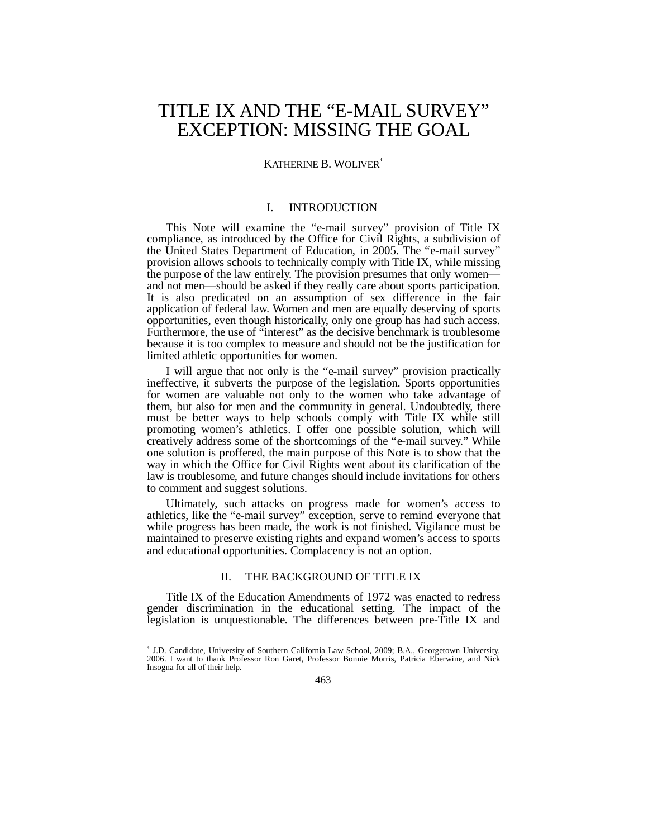# TITLE IX AND THE "E-MAIL SURVEY" EXCEPTION: MISSING THE GOAL

## KATHERINE B. WOLIVER<sup>\*</sup>

## I. INTRODUCTION

This Note will examine the "e-mail survey" provision of Title IX compliance, as introduced by the Office for Civil Rights, a subdivision of the United States Department of Education, in 2005. The "e-mail survey" provision allows schools to technically comply with Title IX, while missing the purpose of the law entirely. The provision presumes that only women and not men—should be asked if they really care about sports participation. It is also predicated on an assumption of sex difference in the fair application of federal law. Women and men are equally deserving of sports opportunities, even though historically, only one group has had such access. Furthermore, the use of "interest" as the decisive benchmark is troublesome because it is too complex to measure and should not be the justification for limited athletic opportunities for women.

I will argue that not only is the "e-mail survey" provision practically ineffective, it subverts the purpose of the legislation. Sports opportunities for women are valuable not only to the women who take advantage of them, but also for men and the community in general. Undoubtedly, there must be better ways to help schools comply with Title IX while still promoting women's athletics. I offer one possible solution, which will creatively address some of the shortcomings of the "e-mail survey." While one solution is proffered, the main purpose of this Note is to show that the way in which the Office for Civil Rights went about its clarification of the law is troublesome, and future changes should include invitations for others to comment and suggest solutions.

Ultimately, such attacks on progress made for women's access to athletics, like the "e-mail survey" exception, serve to remind everyone that while progress has been made, the work is not finished. Vigilance must be maintained to preserve existing rights and expand women's access to sports and educational opportunities. Complacency is not an option.

## II. THE BACKGROUND OF TITLE IX

Title IX of the Education Amendments of 1972 was enacted to redress gender discrimination in the educational setting. The impact of the legislation is unquestionable. The differences between pre-Title IX and

 ∗ J.D. Candidate, University of Southern California Law School, 2009; B.A., Georgetown University, 2006. I want to thank Professor Ron Garet, Professor Bonnie Morris, Patricia Eberwine, and Nick Insogna for all of their help.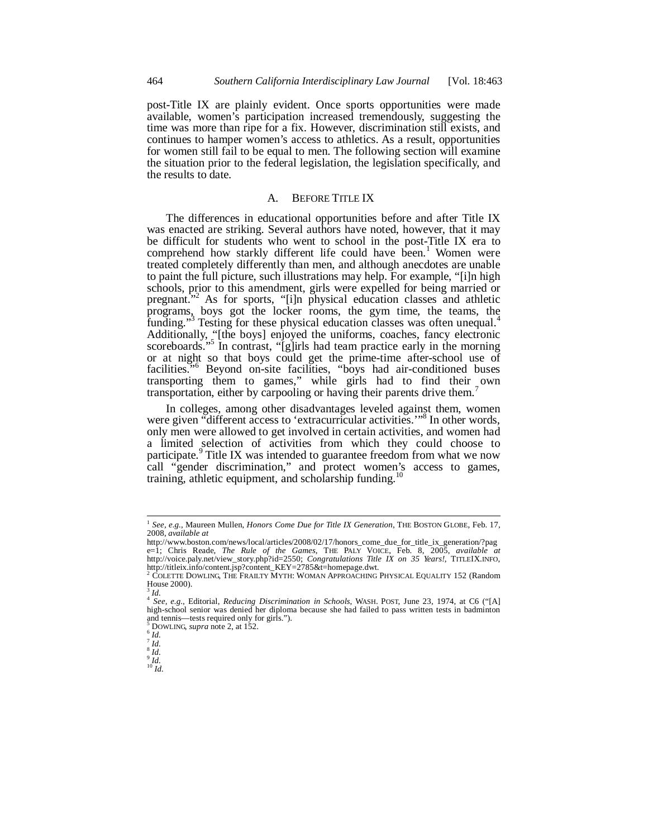post-Title IX are plainly evident. Once sports opportunities were made available, women's participation increased tremendously, suggesting the time was more than ripe for a fix. However, discrimination still exists, and continues to hamper women's access to athletics. As a result, opportunities for women still fail to be equal to men. The following section will examine the situation prior to the federal legislation, the legislation specifically, and the results to date.

## A. BEFORE TITLE IX

The differences in educational opportunities before and after Title IX was enacted are striking. Several authors have noted, however, that it may be difficult for students who went to school in the post-Title IX era to comprehend how starkly different life could have been.<sup>1</sup> Women were treated completely differently than men, and although anecdotes are unable to paint the full picture, such illustrations may help. For example, "[i]n high schools, prior to this amendment, girls were expelled for being married or pregnant."<sup>2</sup> As for sports, "[i]n physical education classes and athletic programs, boys got the locker rooms, the gym time, the teams, the funding."<sup>3</sup> Testing for these physical education classes was often unequal.<sup>4</sup> Additionally, "[the boys] enjoyed the uniforms, coaches, fancy electronic scoreboards.<sup>55</sup> In contrast, "[g]irls had team practice early in the morning or at night so that boys could get the prime-time after-school use of facilities."<sup>6</sup> Beyond on-site facilities, "boys had air-conditioned buses transporting them to games," while girls had to find their own transportation, either by carpooling or having their parents drive them.<sup>7</sup>

In colleges, among other disadvantages leveled against them, women were given "different access to 'extracurricular activities.'"<sup>8</sup> In other words, only men were allowed to get involved in certain activities, and women had a limited selection of activities from which they could choose to participate.<sup>9</sup> Title IX was intended to guarantee freedom from what we now call "gender discrimination," and protect women's access to games, training, athletic equipment, and scholarship funding.<sup>10</sup>

<sup>1</sup> *See, e.g.*, Maureen Mullen, *Honors Come Due for Title IX Generation*, THE BOSTON GLOBE, Feb. 17, 2008, *available at*

http://www.boston.com/news/local/articles/2008/02/17/honors\_come\_due\_for\_title\_ix\_generation/?pag e=1; Chris Reade, *The Rule of the Games*, THE PALY VOICE, Feb. 8, 2005, *available at* http://voice.paly.net/view\_story.php?id=2550; *Congratulations Title IX on 35 Years!*, TITLEIX.INFO, http://titleix.info/content.jsp?content\_KEY=2785&t=homepage.dwt.<br><sup>2</sup> COLETTE DOWLNG THE ERAILY MATH: WOMAN APPOACHING

COLETTE DOWLING, THE FRAILTY MYTH: WOMAN APPROACHING PHYSICAL EQUALITY 152 (Random House 2000).

<sup>3</sup> *Id.* <sup>4</sup> *See, e.g.*, Editorial, *Reducing Discrimination in Schools*, WASH. POST, June 23, 1974, at C6 ("[A] high-school senior was denied her diploma because she had failed to pass written tests in badminton and tennis—tests required only for girls.").<br>  $5 \text{ DOM}$  MG super pote 2, et 152.

 $^{5}_{6}$  DOWLING, *supra* note 2, at 152.  $^{6}$  *Id.* 

 $\int_{8}^{7}$ *Id.*  $\frac{1}{4}$ 

 $\int_{10}^{9}$  *Id.*<br> $\int_{10}^{10}$  *Id.*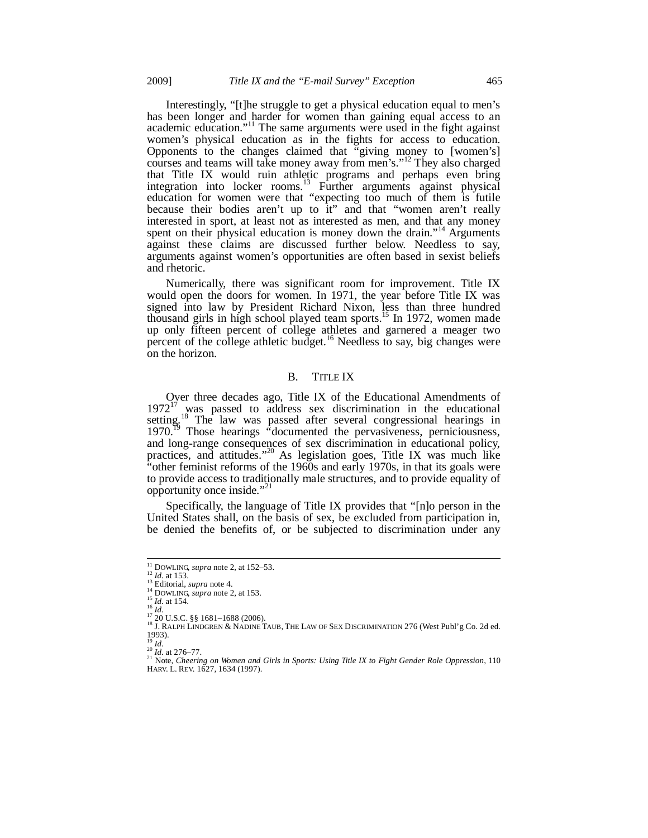Interestingly, "[t]he struggle to get a physical education equal to men's has been longer and harder for women than gaining equal access to an academic education."<sup>11</sup> The same arguments were used in the fight against women's physical education as in the fights for access to education. Opponents to the changes claimed that "giving money to [women's] courses and teams will take money away from men's."12 They also charged that Title IX would ruin athletic programs and perhaps even bring integration into locker rooms.<sup>13</sup> Further arguments against physical education for women were that "expecting too much of them is futile because their bodies aren't up to it" and that "women aren't really interested in sport, at least not as interested as men, and that any money spent on their physical education is money down the drain."<sup>14</sup> Arguments against these claims are discussed further below. Needless to say, arguments against women's opportunities are often based in sexist beliefs and rhetoric.

Numerically, there was significant room for improvement. Title IX would open the doors for women. In 1971, the year before Title IX was signed into law by President Richard Nixon, less than three hundred thousand girls in high school played team sports.<sup>15</sup> In 1972, women made up only fifteen percent of college athletes and garnered a meager two percent of the college athletic budget.<sup>16</sup> Needless to say, big changes were on the horizon.

#### B. TITLE IX

Over three decades ago, Title IX of the Educational Amendments of  $1972<sup>17</sup>$  was passed to address sex discrimination in the educational setting.<sup>18</sup> The law was passed after several congressional hearings in  $1970.<sup>19</sup>$  Those hearings "documented the pervasiveness, perniciousness, and long-range consequences of sex discrimination in educational policy, practices, and attitudes."<sup>20</sup> As legislation goes, Title IX was much like "other feminist reforms of the 1960s and early 1970s, in that its goals were to provide access to traditionally male structures, and to provide equality of opportunity once inside."21

Specifically, the language of Title IX provides that "[n]o person in the United States shall, on the basis of sex, be excluded from participation in, be denied the benefits of, or be subjected to discrimination under any

<sup>&</sup>lt;sup>11</sup> DOWLING, *supra* note 2, at 152–53.<br><sup>12</sup> *Id.* at 153.

<sup>&</sup>lt;sup>13</sup><br>
<sup>14</sup> DOWLING, *supra* note 4.<br>
<sup>14</sup> DOWLING, *supra* note 2, at 153.<br>
<sup>15</sup> *Id.* at 154.<br>
<sup>17</sup> 20 U.S.C. §§ 1681–1688 (2006).<br>
<sup>17</sup> 20 U.S.C. §§ 1681–1688 (2006).<br>
<sup>18</sup> J. RALPH LINDGREN & NADINE TAUB, THE LAW OF SE 1993).<br> $\frac{19}{20}$ *Id.*<br> $\frac{20}{20}$ *Id.* at 276–77.

<sup>&</sup>lt;sup>21</sup> Note, *Cheering on Women and Girls in Sports: Using Title IX to Fight Gender Role Oppression*, 110 HARV. L. REV. 1627, 1634 (1997).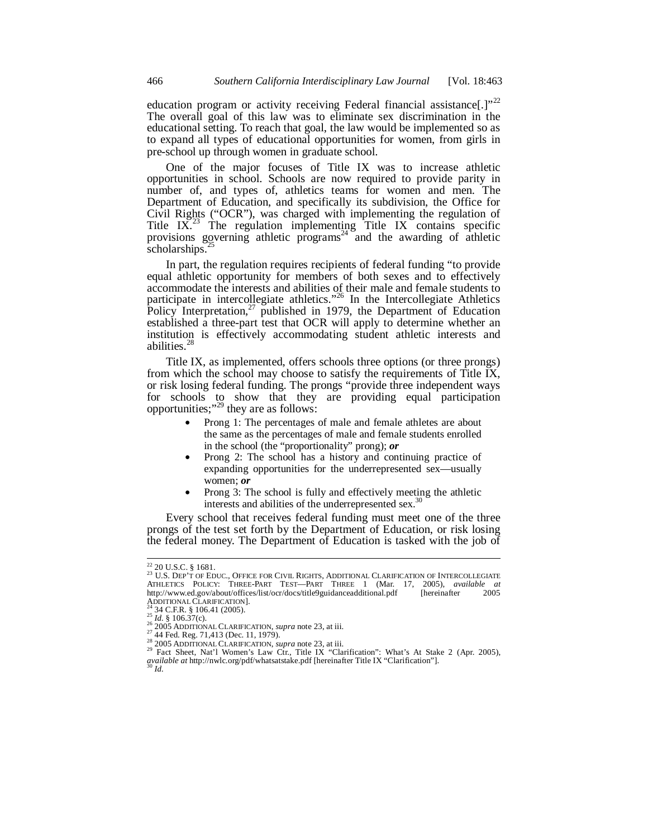education program or activity receiving Federal financial assistance[.]"<sup>22</sup> The overall goal of this law was to eliminate sex discrimination in the educational setting. To reach that goal, the law would be implemented so as to expand all types of educational opportunities for women, from girls in pre-school up through women in graduate school.

One of the major focuses of Title IX was to increase athletic opportunities in school. Schools are now required to provide parity in number of, and types of, athletics teams for women and men. The Department of Education, and specifically its subdivision, the Office for Civil Rights ("OCR"), was charged with implementing the regulation of Title  $IX<sup>23</sup>$  The regulation implementing Title IX contains specific provisions governing athletic programs<sup>24</sup> and the awarding of athletic scholarships. $^{25}$ 

In part, the regulation requires recipients of federal funding "to provide equal athletic opportunity for members of both sexes and to effectively accommodate the interests and abilities of their male and female students to participate in intercollegiate athletics."<sup>26</sup> In the Intercollegiate Athletics Policy Interpretation, $^{27}$  published in 1979, the Department of Education established a three-part test that OCR will apply to determine whether an institution is effectively accommodating student athletic interests and abilities.<sup>28</sup>

Title IX, as implemented, offers schools three options (or three prongs) from which the school may choose to satisfy the requirements of Title IX, or risk losing federal funding. The prongs "provide three independent ways for schools to show that they are providing equal participation opportunities;"<sup>29</sup> they are as follows:

- Prong 1: The percentages of male and female athletes are about the same as the percentages of male and female students enrolled in the school (the "proportionality" prong); *or*
- Prong 2: The school has a history and continuing practice of expanding opportunities for the underrepresented sex—usually women; *or*
- Prong 3: The school is fully and effectively meeting the athletic interests and abilities of the underrepresented sex.<sup>30</sup>

Every school that receives federal funding must meet one of the three prongs of the test set forth by the Department of Education, or risk losing the federal money. The Department of Education is tasked with the job of

 $\overline{a}$ 

<sup>&</sup>lt;sup>22</sup> 20 U.S.C. § 1681.<br><sup>23</sup> U.S. Dep't of Educ., Office for Civil Rights, Additional Clarification of Intercollegiate<br>Athletics Policy: Three-Part Test—Part Three 1 (Mar. 17, 2005), *available at* http://www.ed.gov/about/offices/list/ocr/docs/title9guidanceadditional.pdf [hereinafter 2005<br>ADDITIONAL CLARIFICATION].<br>23 34 C.F.R. § 106.41 (2005).

<sup>&</sup>lt;sup>25</sup> Id. § 106.37(c).<br>
<sup>25</sup> Id. § 106.37(c).<br>
<sup>26</sup> 2005 ADDITIONAL CLARIFICATION, *supra* note 23, at iii.<br>
<sup>27</sup> 44 Fed. Reg. 71,413 (Dec. 11, 1979).<br>
<sup>28</sup> 2005 ADDITIONAL CLARIFICATION, *supra* note 23, at iii.<br>
<sup>29</sup> Fac *available at* http://nwlc.org/pdf/whatsatstake.pdf [hereinafter Title IX "Clarification"]. <sup>30</sup> *Id.*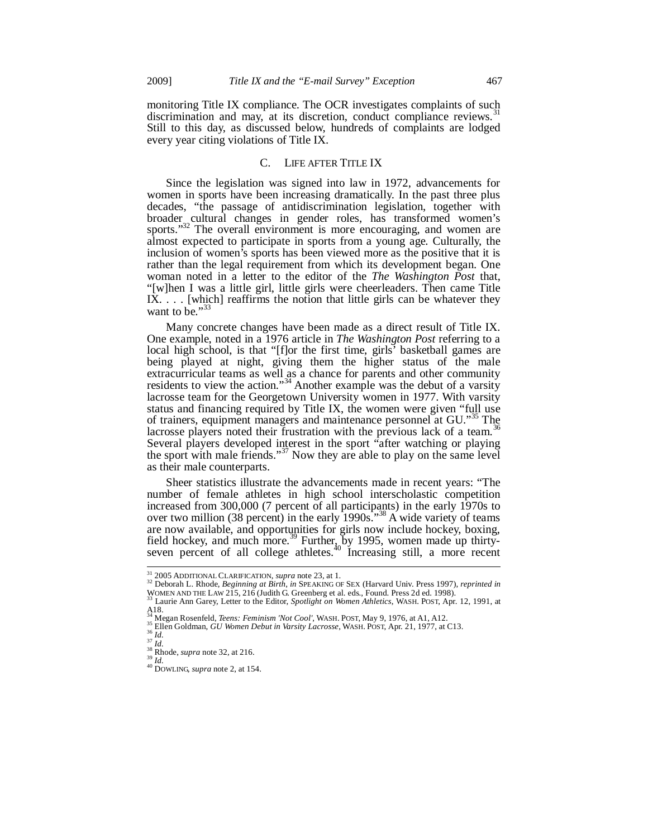monitoring Title IX compliance. The OCR investigates complaints of such discrimination and may, at its discretion, conduct compliance reviews.<sup>31</sup> Still to this day, as discussed below, hundreds of complaints are lodged every year citing violations of Title IX.

## C. LIFE AFTER TITLE IX

Since the legislation was signed into law in 1972, advancements for women in sports have been increasing dramatically. In the past three plus decades, "the passage of antidiscrimination legislation, together with broader cultural changes in gender roles, has transformed women's sports."<sup>32</sup> The overall environment is more encouraging, and women are almost expected to participate in sports from a young age. Culturally, the inclusion of women's sports has been viewed more as the positive that it is rather than the legal requirement from which its development began. One woman noted in a letter to the editor of the *The Washington Post* that, "[w]hen I was a little girl, little girls were cheerleaders. Then came Title IX. . . . [which] reaffirms the notion that little girls can be whatever they want to be." $33$ 

Many concrete changes have been made as a direct result of Title IX. One example, noted in a 1976 article in *The Washington Post* referring to a local high school, is that "[f]or the first time, girls<sup>"</sup> basketball games are being played at night, giving them the higher status of the male extracurricular teams as well as a chance for parents and other community residents to view the action."<sup>34</sup> Another example was the debut of a varsity lacrosse team for the Georgetown University women in 1977. With varsity status and financing required by Title IX, the women were given "full use of trainers, equipment managers and maintenance personnel at GU."<sup>35</sup> The lacrosse players noted their frustration with the previous lack of a team.<sup>36</sup> Several players developed interest in the sport "after watching or playing the sport with male friends."<sup>37</sup> Now they are able to play on the same level as their male counterparts.

Sheer statistics illustrate the advancements made in recent years: "The number of female athletes in high school interscholastic competition increased from 300,000 (7 percent of all participants) in the early 1970s to over two million (38 percent) in the early  $1990s.^{38}$  A wide variety of teams are now available, and opportunities for girls now include hockey, boxing, field hockey, and much more.<sup>39</sup> Further, by 1995, women made up thirtyseven percent of all college athletes.<sup>40</sup> Increasing still, a more recent

 $31$  2005 ADDITIONAL CLARIFICATION, supra note 23, at 1.

<sup>31 2005</sup> ADDITIONAL CLARIFICATION, *supra* note 23, at 1. 32 Deborah L. Rhode, *Beginning at Birth*, *in* SPEAKING OF SEX (Harvard Univ. Press 1997), *reprinted in* WOMEN AND THE LAW 215, <sup>216</sup> (Judith G. Greenberg et al. eds., Found. Press 2d ed. 1998). 33 Laurie Ann Garey, Letter to the Editor, *Spotlight on Women Athletics*, WASH. POST, Apr. 12, 1991, at

 $A18.$ <sub>34</sub>.

<sup>&</sup>lt;sup>34</sup> Megan Rosenfeld, *Teens: Feminism 'Not Cool'*, WASH. POST, May 9, 1976, at A1, A12.<br><sup>35</sup> Ellen Goldman, *GU Women Debut in Varsity Lacrosse*, WASH. POST, Apr. 21, 1977, at C13.<br><sup>36</sup> Id.<br><sup>37</sup> Id.<br><sup>38</sup> Rhode, *supra* n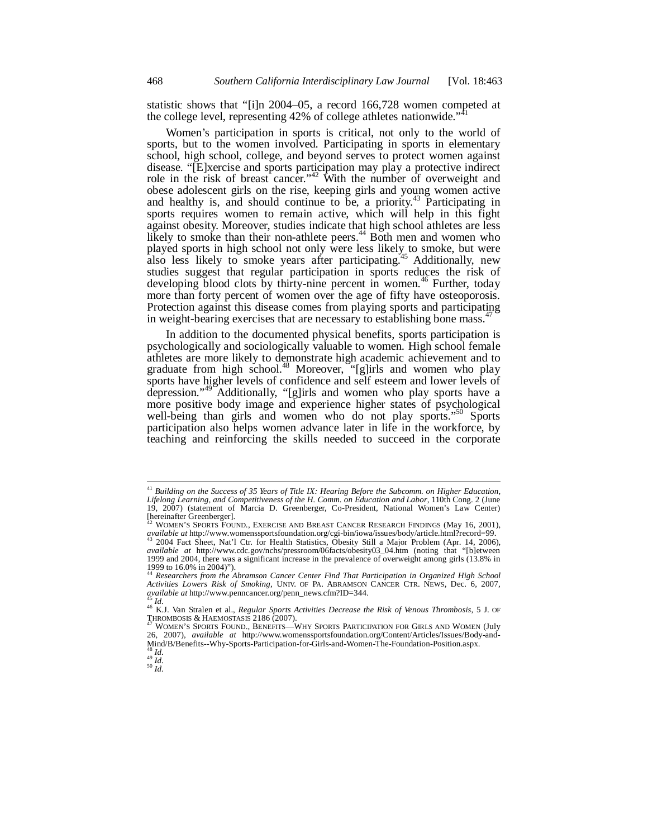statistic shows that "[i]n 2004–05, a record 166,728 women competed at the college level, representing 42% of college athletes nationwide."<sup>41</sup>

Women's participation in sports is critical, not only to the world of sports, but to the women involved. Participating in sports in elementary school, high school, college, and beyond serves to protect women against disease. "[E]xercise and sports participation may play a protective indirect role in the risk of breast cancer."<sup>42</sup> With the number of overweight and obese adolescent girls on the rise, keeping girls and young women active and healthy is, and should continue to be, a priority.<sup>43</sup> Participating in sports requires women to remain active, which will help in this fight against obesity. Moreover, studies indicate that high school athletes are less likely to smoke than their non-athlete peers.<sup>44</sup> Both men and women who played sports in high school not only were less likely to smoke, but were also less likely to smoke years after participating.<sup>45</sup> Additionally, new studies suggest that regular participation in sports reduces the risk of developing blood clots by thirty-nine percent in women.<sup>46</sup> Further, today more than forty percent of women over the age of fifty have osteoporosis. Protection against this disease comes from playing sports and participating in weight-bearing exercises that are necessary to establishing bone mass.<sup>4</sup>

In addition to the documented physical benefits, sports participation is psychologically and sociologically valuable to women. High school female athletes are more likely to demonstrate high academic achievement and to graduate from high school.<sup>48</sup> Moreover, "[g]irls and women who play sports have higher levels of confidence and self esteem and lower levels of depression."49 Additionally, "[g]irls and women who play sports have a more positive body image and experience higher states of psychological well-being than girls and women who do not play sports."<sup>50</sup> Sports participation also helps women advance later in life in the workforce, by teaching and reinforcing the skills needed to succeed in the corporate

 $\overline{a}$ 

<sup>41</sup> *Building on the Success of 35 Years of Title IX: Hearing Before the Subcomm. on Higher Education, Lifelong Learning, and Competitiveness of the H. Comm. on Education and Labor*, 110th Cong. 2 (June 19, 2007) (statement of Marcia D. Greenberger, Co-President, National Women's Law Center) [hereinafter Greenberger].

<sup>42</sup> WOMEN'S SPORTS FOUND., EXERCISE AND BREAST CANCER RESEARCH FINDINGS (May 16, 2001), *available at* http://www.womenssportsfoundation.org/cgi-bin/iowa/issues/body/article.html?record=99. 43 2004 Fact Sheet, Nat'l Ctr. for Health Statistics, Obesity Still a Major Problem (Apr. 14, 2006),

*available at* http://www.cdc.gov/nchs/pressroom/06facts/obesity03\_04.htm (noting that "[b]etween 1999 and 2004, there was a significant increase in the prevalence of overweight among girls (13.8% in 1999 to 16.0% in 2004)").

<sup>44</sup> *Researchers from the Abramson Cancer Center Find That Participation in Organized High School Activities Lowers Risk of Smoking*, UNIV. OF PA. ABRAMSON CANCER CTR. NEWS, Dec. 6, 2007,

<sup>&</sup>lt;sup>43</sup> Id.<br><sup>46</sup> K.J. Van Stralen et al., *Regular Sports Activities Decrease the Risk of Venous Thrombosis, 5 J. OF* THROMBOSIS & HAEMOSTASIS 2186 (2007).<br><sup>47</sup> WOMEN'S SPORTS FOUND., BENEFITS—WHY SPORTS PARTICIPATION FOR GIRLS AND WOMEN (July

<sup>26, 2007),</sup> *available at* http://www.womenssportsfoundation.org/Content/Articles/Issues/Body-and-Mind/B/Benefits--Why-Sports-Participation-for-Girls-and-Women-The-Foundation-Position.aspx.

<sup>48</sup> *Id.* 49 *Id.* 50 *Id.*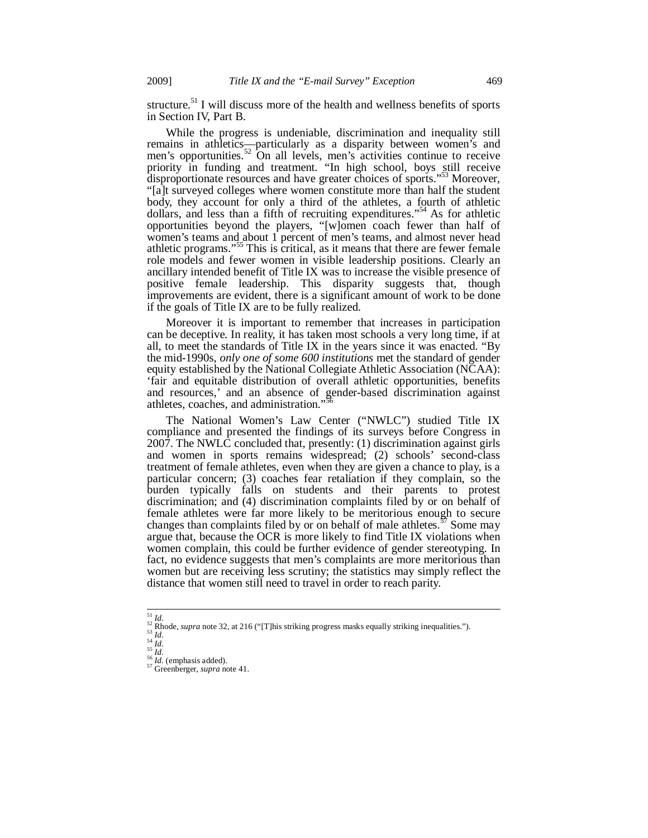structure.<sup>51</sup> I will discuss more of the health and wellness benefits of sports in Section IV, Part B.

While the progress is undeniable, discrimination and inequality still remains in athletics—particularly as a disparity between women's and men's opportunities.<sup>52</sup> On all levels, men's activities continue to receive priority in funding and treatment. "In high school, boys still receive disproportionate resources and have greater choices of sports."<sup>53</sup> Moreover, "[a]t surveyed colleges where women constitute more than half the student body, they account for only a third of the athletes, a fourth of athletic dollars, and less than a fifth of recruiting expenditures."54 As for athletic opportunities beyond the players, "[w]omen coach fewer than half of women's teams and about 1 percent of men's teams, and almost never head athletic programs."55 This is critical, as it means that there are fewer female role models and fewer women in visible leadership positions. Clearly an ancillary intended benefit of Title IX was to increase the visible presence of positive female leadership. This disparity suggests that, though improvements are evident, there is a significant amount of work to be done if the goals of Title IX are to be fully realized.

Moreover it is important to remember that increases in participation can be deceptive. In reality, it has taken most schools a very long time, if at all, to meet the standards of Title IX in the years since it was enacted. "By the mid-1990s, *only one of some 600 institutions* met the standard of gender equity established by the National Collegiate Athletic Association (NCAA): 'fair and equitable distribution of overall athletic opportunities, benefits and resources,' and an absence of gender-based discrimination against athletes, coaches, and administration."<sup>3</sup>

The National Women's Law Center ("NWLC") studied Title IX compliance and presented the findings of its surveys before Congress in 2007. The NWLC concluded that, presently: (1) discrimination against girls and women in sports remains widespread; (2) schools' second-class treatment of female athletes, even when they are given a chance to play, is a particular concern; (3) coaches fear retaliation if they complain, so the burden typically falls on students and their parents to protest discrimination; and (4) discrimination complaints filed by or on behalf of female athletes were far more likely to be meritorious enough to secure changes than complaints filed by or on behalf of male athletes.<sup>57</sup> Some may argue that, because the OCR is more likely to find Title IX violations when women complain, this could be further evidence of gender stereotyping. In fact, no evidence suggests that men's complaints are more meritorious than women but are receiving less scrutiny; the statistics may simply reflect the distance that women still need to travel in order to reach parity.

 $^{\rm 51}$   $Id.$ 

<sup>&</sup>lt;sup>52</sup> Rhode, *supra* note 32, at 216 ("[T]his striking progress masks equally striking inequalities.").<br><sup>53</sup> Id.<br><sup>54</sup> Id.<br><sup>55</sup> Id. (emphasis added).<br><sup>55</sup> Id. (emphasis added).<br><sup>57</sup> Greenberger, *supra* note 41.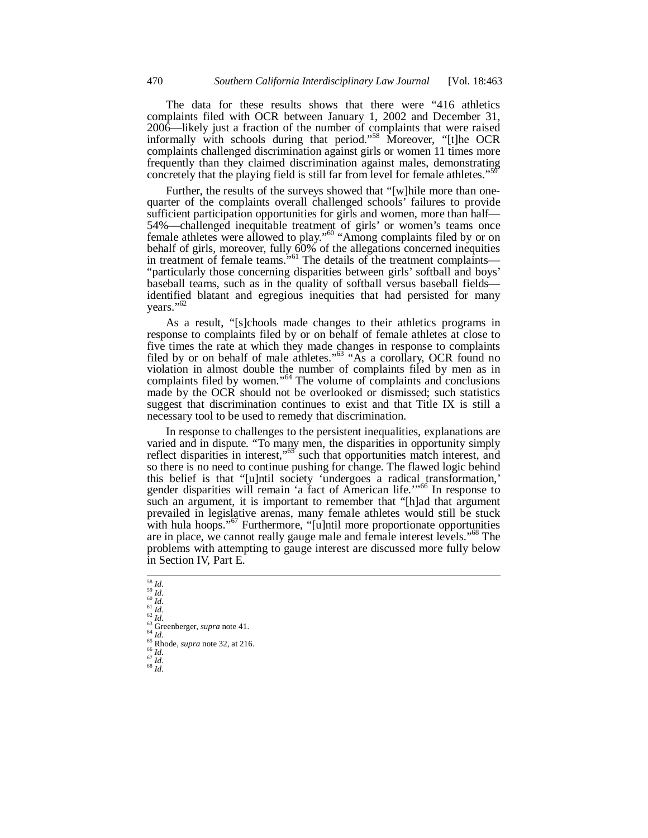The data for these results shows that there were "416 athletics complaints filed with OCR between January 1, 2002 and December 31, 2006—likely just a fraction of the number of complaints that were raised informally with schools during that period."<sup>58</sup> Moreover, "[t]he OCR complaints challenged discrimination against girls or women 11 times more frequently than they claimed discrimination against males, demonstrating concretely that the playing field is still far from level for female athletes."<sup>59</sup>

Further, the results of the surveys showed that "[w]hile more than onequarter of the complaints overall challenged schools' failures to provide sufficient participation opportunities for girls and women, more than half— 54%—challenged inequitable treatment of girls' or women's teams once female athletes were allowed to play."<sup>60</sup> "Among complaints filed by or on behalf of girls, moreover, fully 60% of the allegations concerned inequities in treatment of female teams."<sup>61</sup> The details of the treatment complaints— "particularly those concerning disparities between girls' softball and boys' baseball teams, such as in the quality of softball versus baseball fields identified blatant and egregious inequities that had persisted for many years."<sup>62</sup>

As a result, "[s]chools made changes to their athletics programs in response to complaints filed by or on behalf of female athletes at close to five times the rate at which they made changes in response to complaints filed by or on behalf of male athletes."<sup>63</sup> "As a corollary, OCR found no violation in almost double the number of complaints filed by men as in complaints filed by women."<sup>64</sup> The volume of complaints and conclusions made by the OCR should not be overlooked or dismissed; such statistics suggest that discrimination continues to exist and that Title IX is still a necessary tool to be used to remedy that discrimination.

In response to challenges to the persistent inequalities, explanations are varied and in dispute. "To many men, the disparities in opportunity simply reflect disparities in interest,"<sup>65</sup> such that opportunities match interest, and so there is no need to continue pushing for change. The flawed logic behind this belief is that "[u]ntil society 'undergoes a radical transformation,' gender disparities will remain 'a fact of American life."<sup>66</sup> In response to such an argument, it is important to remember that "[h]ad that argument prevailed in legislative arenas, many female athletes would still be stuck with hula hoops."<sup>67</sup> Furthermore, "[u]ntil more proportionate opportunities are in place, we cannot really gauge male and female interest levels."<sup>68</sup> The problems with attempting to gauge interest are discussed more fully below in Section IV, Part E.

 $\begin{array}{c}\n 58 \overline{\phantom{0}} \text{Id.} \\
 \frac{59}{4} \overline{\phantom{0}} \text{Id.} \\
 \frac{60}{4} \overline{\phantom{0}} \text{Id.}\n \end{array}$ 

61 *Id.*<br>62 *Id.*<br>64 *Id.*<br>64 *Id.*<br>65 Rhode, *supra* note 32, at 216.<br>65 *Id.*<br>67 *Id.* 68 *Id.*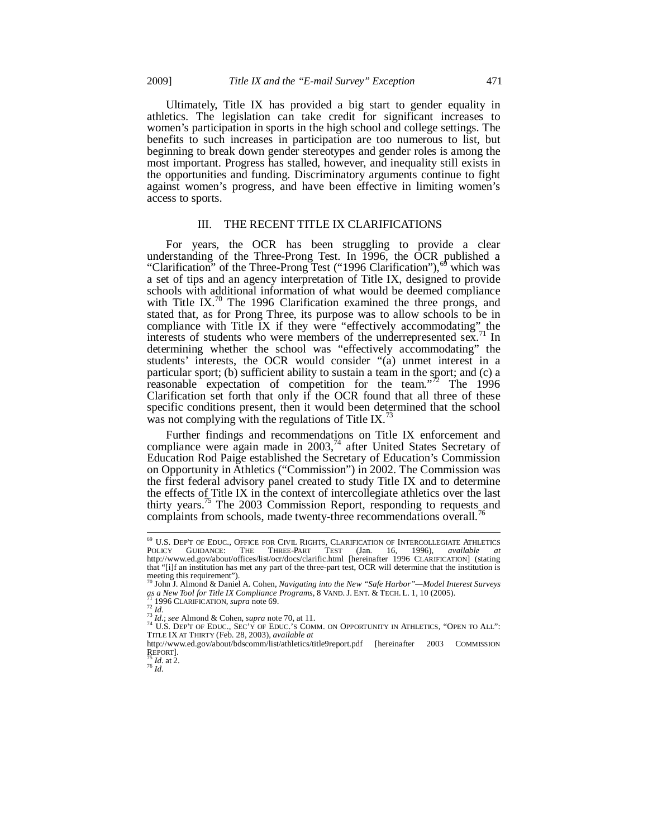Ultimately, Title IX has provided a big start to gender equality in athletics. The legislation can take credit for significant increases to women's participation in sports in the high school and college settings. The benefits to such increases in participation are too numerous to list, but beginning to break down gender stereotypes and gender roles is among the most important. Progress has stalled, however, and inequality still exists in the opportunities and funding. Discriminatory arguments continue to fight against women's progress, and have been effective in limiting women's access to sports.

## III. THE RECENT TITLE IX CLARIFICATIONS

For years, the OCR has been struggling to provide a clear understanding of the Three-Prong Test. In 1996, the OCR published a "Clarification" of the Three-Prong Test ("1996 Clarification"),<sup>69</sup> which was a set of tips and an agency interpretation of Title IX, designed to provide schools with additional information of what would be deemed compliance with Title IX.<sup>70</sup> The 1996 Clarification examined the three prongs, and stated that, as for Prong Three, its purpose was to allow schools to be in compliance with Title IX if they were "effectively accommodating" the interests of students who were members of the underrepresented sex.<sup>71</sup> In determining whether the school was "effectively accommodating" the students' interests, the OCR would consider "(a) unmet interest in a particular sport; (b) sufficient ability to sustain a team in the sport; and (c) a reasonable expectation of competition for the team."<sup>72</sup> The 1996 Clarification set forth that only if the OCR found that all three of these specific conditions present, then it would been determined that the school was not complying with the regulations of Title IX.<sup>73</sup>

Further findings and recommendations on Title IX enforcement and compliance were again made in 2003,<sup>74</sup> after United States Secretary of Education Rod Paige established the Secretary of Education's Commission on Opportunity in Athletics ("Commission") in 2002. The Commission was the first federal advisory panel created to study Title IX and to determine the effects of Title IX in the context of intercollegiate athletics over the last thirty years.<sup>75</sup> The 2003 Commission Report, responding to requests and complaints from schools, made twenty-three recommendations overall.<sup>76</sup>

-

<sup>69</sup> U.S. DEP'T OF EDUC., OFFICE FOR CIVIL RIGHTS, CLARIFICATION OF INTERCOLLEGIATE ATHLETICS POLICY GUIDANCE: THE THREE-PART TEST (Jan. 16, 1996), *available at* http://www.ed.gov/about/offices/list/ocr/docs/clarific.html [hereinafter 1996 CLARIFICATION] (stating that "[i]f an institution has met any part of the three-part test, OCR will determine that the institution is

meeting this requirement"). 70 John J. Almond & Daniel A. Cohen, *Navigating into the New "Safe Harbor"—Model Interest Surveys* 

<sup>3</sup> a New Tool for Title IX Compliance Programs, 8 VAND. J. ENT. & TECH. L. 1, 10 (2005).<br>
71 1996 CLARIFICATION, supra note 69.<br>
72 Id., see Almond & Cohen, supra note 70, at 11.<br>
74 U.S. DEP'T OF EDUC., SEC'Y OF EDUC.  $\frac$ TITLE IX AT THIRTY (Feb. 28, 2003), *available at*

http://www.ed.gov/about/bdscomm/list/athletics/title9report.pdf [hereinafter 2003 COMMISSION<br>REPORT].

 $\frac{75}{76}$ *Id.* at 2.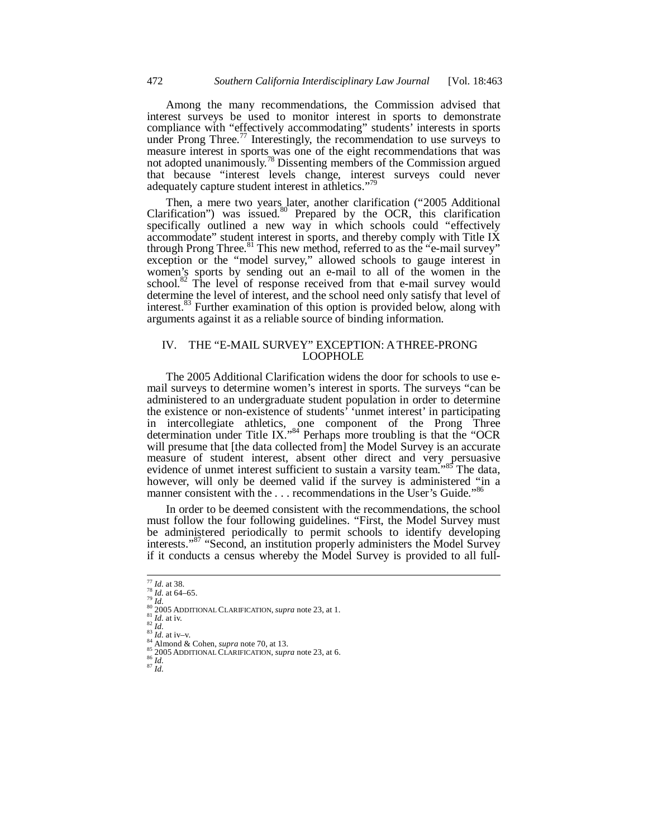Among the many recommendations, the Commission advised that interest surveys be used to monitor interest in sports to demonstrate compliance with "effectively accommodating" students' interests in sports under Prong Three.<sup>77</sup> Interestingly, the recommendation to use surveys to measure interest in sports was one of the eight recommendations that was not adopted unanimously.<sup>78</sup> Dissenting members of the Commission argued that because "interest levels change, interest surveys could never adequately capture student interest in athletics."<sup>79</sup>

Then, a mere two years later, another clarification ("2005 Additional Clarification") was issued.<sup>80</sup> Prepared by the OCR, this clarification specifically outlined a new way in which schools could "effectively accommodate" student interest in sports, and thereby comply with Title IX through Prong Three.<sup>81</sup> This new method, referred to as the "e-mail survey" exception or the "model survey," allowed schools to gauge interest in women's sports by sending out an e-mail to all of the women in the school. $82$  The level of response received from that e-mail survey would determine the level of interest, and the school need only satisfy that level of interest.<sup>83</sup> Further examination of this option is provided below, along with arguments against it as a reliable source of binding information.

## IV. THE "E-MAIL SURVEY" EXCEPTION: A THREE-PRONG LOOPHOLE

The 2005 Additional Clarification widens the door for schools to use email surveys to determine women's interest in sports. The surveys "can be administered to an undergraduate student population in order to determine the existence or non-existence of students' 'unmet interest' in participating in intercollegiate athletics, one component of the Prong Three determination under Title IX."<sup>84</sup> Perhaps more troubling is that the "OCR will presume that [the data collected from] the Model Survey is an accurate measure of student interest, absent other direct and very persuasive evidence of unmet interest sufficient to sustain a varsity team.<sup>585</sup> The data, however, will only be deemed valid if the survey is administered "in a manner consistent with the ... recommendations in the User's Guide."<sup>86</sup>

In order to be deemed consistent with the recommendations, the school must follow the four following guidelines. "First, the Model Survey must be administered periodically to permit schools to identify developing interests."<sup>87</sup> "Second, an institution properly administers the Model Survey if it conducts a census whereby the Model Survey is provided to all full-

 $177$  *Id.* at 38.

<sup>&</sup>lt;sup>78</sup> *Id.* at 64–65.<br>
<sup>79</sup> *Id.*<br>
<sup>80</sup> *Id.*<br>
<sup>80</sup> 2005 ADDITIONAL CLARIFICATION, *supra* note 23, at 1.<br>
<sup>81</sup> *Id.* at iv.<br>
<sup>83</sup> *Id.*<br>
<sup>83</sup> *Id.*<br>
<sup>83</sup> *Id.*<br>
<sup>84</sup> Almond & Cohen, *supra* note 70, at 13.<br>
<sup>85</sup> 2005 ADDI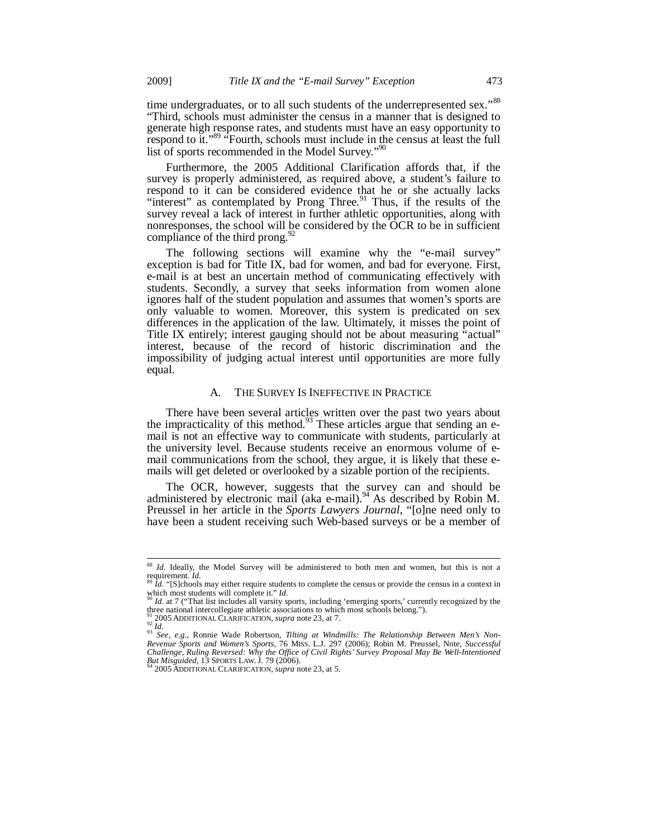time undergraduates, or to all such students of the underrepresented sex."<sup>88</sup> "Third, schools must administer the census in a manner that is designed to generate high response rates, and students must have an easy opportunity to respond to it."<sup>89</sup> "Fourth, schools must include in the census at least the full list of sports recommended in the Model Survey."

Furthermore, the 2005 Additional Clarification affords that, if the survey is properly administered, as required above, a student's failure to respond to it can be considered evidence that he or she actually lacks "interest" as contemplated by Prong Three.<sup>91</sup> Thus, if the results of the survey reveal a lack of interest in further athletic opportunities, along with nonresponses, the school will be considered by the OCR to be in sufficient compliance of the third prong.<sup>9</sup>

The following sections will examine why the "e-mail survey" exception is bad for Title IX, bad for women, and bad for everyone. First, e-mail is at best an uncertain method of communicating effectively with students. Secondly, a survey that seeks information from women alone ignores half of the student population and assumes that women's sports are only valuable to women. Moreover, this system is predicated on sex differences in the application of the law. Ultimately, it misses the point of Title IX entirely; interest gauging should not be about measuring "actual" interest, because of the record of historic discrimination and the impossibility of judging actual interest until opportunities are more fully equal.

#### A. THE SURVEY IS INEFFECTIVE IN PRACTICE

There have been several articles written over the past two years about the impracticality of this method.<sup>93</sup> These articles argue that sending an email is not an effective way to communicate with students, particularly at the university level. Because students receive an enormous volume of email communications from the school, they argue, it is likely that these emails will get deleted or overlooked by a sizable portion of the recipients.

The OCR, however, suggests that the survey can and should be administered by electronic mail (aka e-mail). $94$  As described by Robin M. Preussel in her article in the *Sports Lawyers Journal*, "[o]ne need only to have been a student receiving such Web-based surveys or be a member of

 $\overline{a}$ 

<sup>88</sup> *Id.* Ideally, the Model Survey will be administered to both men and women, but this is not a requirement. *Id.*<br><sup>89</sup> *Id.* "[S]chools may either require students to complete the census or provide the census in a context in

which most students will complete it." *Id.*<br><sup>90</sup> *Id.* at 7 ("That list includes all varsity sports, including 'emerging sports,' currently recognized by the

three national intercollegiate athletic associations to which most schools belong.").

<sup>&</sup>lt;sup>91</sup> 2005 ADDITIONAL CLARIFICATION, *supra* note 23, at 7.<br><sup>93</sup> *See, e.g.*, Ronnie Wade Robertson, *Tilting at Windmills: The Relationship Between Men's Non-Revenue Sports and Women's Sports*, 76 MISS. L.J. 297 (2006); Robin M. Preussel, Note, *Successful Challenge, Ruling Reversed: Why the Office of Civil Rights' Survey Proposal May Be Well-Intentioned But Misguided*, 13 SPORTS LAW. J. 79 (2006). 94 2005 ADDITIONAL CLARIFICATION, *supra* note 23, at 5.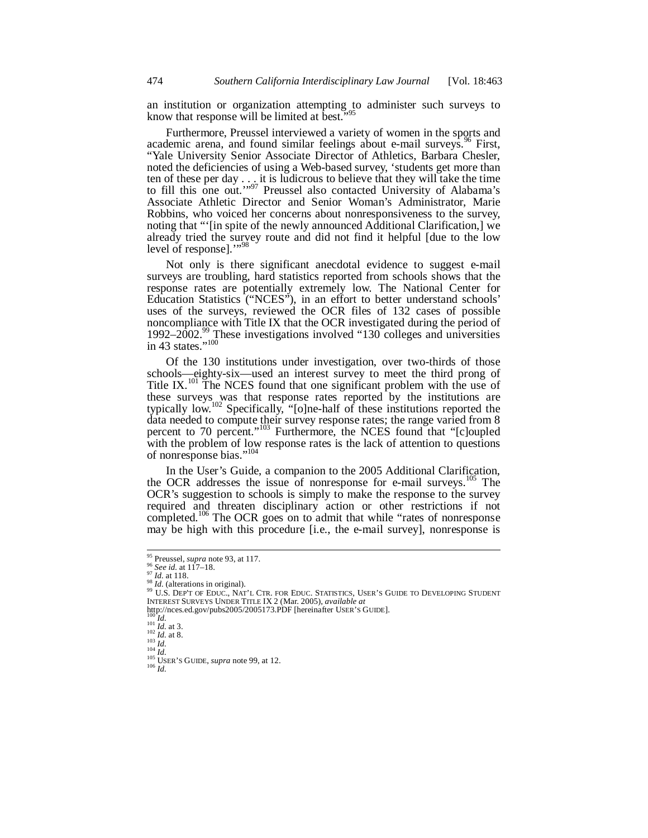an institution or organization attempting to administer such surveys to know that response will be limited at best."<sup>95</sup>

Furthermore, Preussel interviewed a variety of women in the sports and academic arena, and found similar feelings about e-mail surveys.<sup>96</sup> First, "Yale University Senior Associate Director of Athletics, Barbara Chesler, noted the deficiencies of using a Web-based survey, 'students get more than ten of these per day  $\ldots$  it is ludicrous to believe that they will take the time to fill this one out."<sup>97</sup> Preussel also contacted University of Alabama's Associate Athletic Director and Senior Woman's Administrator, Marie Robbins, who voiced her concerns about nonresponsiveness to the survey, noting that "'[in spite of the newly announced Additional Clarification,] we already tried the survey route and did not find it helpful [due to the low level of response]."<sup>98</sup>

Not only is there significant anecdotal evidence to suggest e-mail surveys are troubling, hard statistics reported from schools shows that the response rates are potentially extremely low. The National Center for Education Statistics ("NCES"), in an effort to better understand schools' uses of the surveys, reviewed the OCR files of 132 cases of possible noncompliance with Title IX that the OCR investigated during the period of 1992–2002.<sup>99</sup> These investigations involved "130 colleges and universities in 43 states." $100$ 

Of the 130 institutions under investigation, over two-thirds of those schools—eighty-six—used an interest survey to meet the third prong of Title IX.<sup>101</sup> The NCES found that one significant problem with the use of these surveys was that response rates reported by the institutions are typically low.<sup>102</sup> Specifically, "[o]ne-half of these institutions reported the data needed to compute their survey response rates; the range varied from 8 percent to 70 percent."<sup>103</sup> Furthermore, the NCES found that "[c]oupled with the problem of low response rates is the lack of attention to questions of nonresponse bias."<sup>104</sup>

In the User's Guide, a companion to the 2005 Additional Clarification, the OCR addresses the issue of nonresponse for e-mail surveys.<sup>105</sup> The OCR's suggestion to schools is simply to make the response to the survey required and threaten disciplinary action or other restrictions if not completed.<sup>106</sup> The OCR goes on to admit that while "rates of nonresponse may be high with this procedure [i.e., the e-mail survey], nonresponse is

<sup>&</sup>lt;sup>95</sup> Preussel, *supra* note 93, at 117.

<sup>&</sup>lt;sup>95</sup> Preussel, *supra* note 93, at 117.<br><sup>97</sup> *See id.* at 117–18.<br><sup>97</sup> *Id.* at 118.<br><sup>98</sup> *Id.* (alterations in original).<br><sup>98</sup> *U.* S. DEP'T OF EDUC., NAT'L CTR. FOR EDUC. STATISTICS, USER'S GUIDE TO DEVELOPING STUDENT<br><sup>9</sup> http://nces.ed.gov/pubs2005/2005173.PDF [hereinafter USER's GUIDE].<br>
<sup>101</sup> *Id.* at 3.<br>
<sup>102</sup> *Id.* at 8.<br>
<sup>103</sup> *Id.* at 8.<br>
<sup>103</sup> *Id. Id.*<br>
<sup>104</sup> *Id.*<br>
<sup>105</sup> USER's GUIDE, *supra* note 99, at 12.<br>
<sup>106</sup> *Id.*<br>
<sup>106</sup>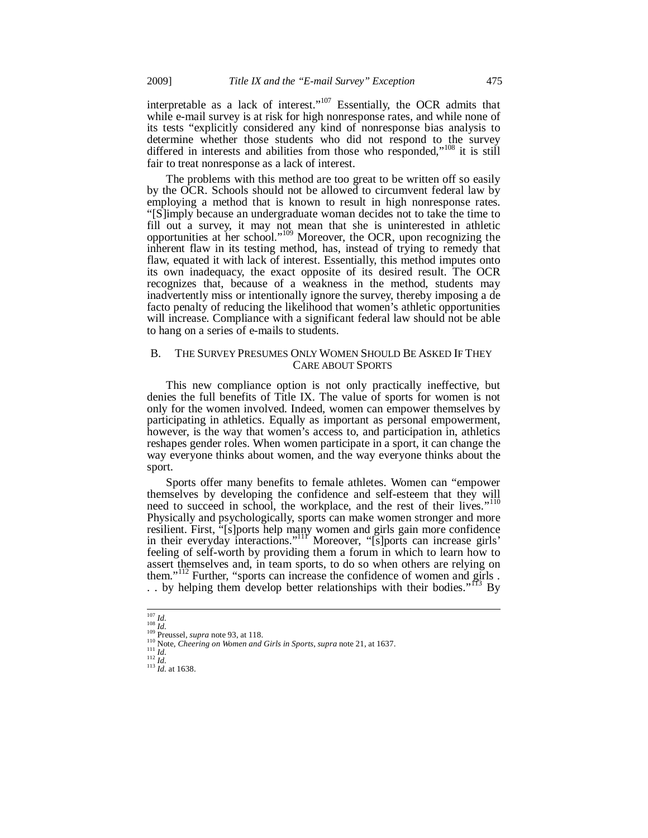interpretable as a lack of interest." $107$  Essentially, the OCR admits that while e-mail survey is at risk for high nonresponse rates, and while none of its tests "explicitly considered any kind of nonresponse bias analysis to determine whether those students who did not respond to the survey differed in interests and abilities from those who responded,"<sup>108</sup> it is still fair to treat nonresponse as a lack of interest.

The problems with this method are too great to be written off so easily by the OCR. Schools should not be allowed to circumvent federal law by employing a method that is known to result in high nonresponse rates. "[S]imply because an undergraduate woman decides not to take the time to fill out a survey, it may not mean that she is uninterested in athletic opportunities at her school."109 Moreover, the OCR, upon recognizing the inherent flaw in its testing method, has, instead of trying to remedy that flaw, equated it with lack of interest. Essentially, this method imputes onto its own inadequacy, the exact opposite of its desired result. The OCR recognizes that, because of a weakness in the method, students may inadvertently miss or intentionally ignore the survey, thereby imposing a de facto penalty of reducing the likelihood that women's athletic opportunities will increase. Compliance with a significant federal law should not be able to hang on a series of e-mails to students.

#### B. THE SURVEY PRESUMES ONLY WOMEN SHOULD BE ASKED IF THEY CARE ABOUT SPORTS

This new compliance option is not only practically ineffective, but denies the full benefits of Title IX. The value of sports for women is not only for the women involved. Indeed, women can empower themselves by participating in athletics. Equally as important as personal empowerment, however, is the way that women's access to, and participation in, athletics reshapes gender roles. When women participate in a sport, it can change the way everyone thinks about women, and the way everyone thinks about the sport.

Sports offer many benefits to female athletes. Women can "empower themselves by developing the confidence and self-esteem that they will need to succeed in school, the workplace, and the rest of their lives."<sup>110</sup> Physically and psychologically, sports can make women stronger and more resilient. First, "[s]ports help many women and girls gain more confidence in their everyday interactions."<sup>111</sup> Moreover, "[s]ports can increase girls' feeling of self-worth by providing them a forum in which to learn how to assert themselves and, in team sports, to do so when others are relying on them."<sup>112</sup> Further, "sports can increase the confidence of women and girls .<br>
. by helping them develop better relationships with their bodies."<sup>113</sup> By . . by helping them develop better relationships with their bodies."<sup>113</sup>

 $\frac{107}{108}$  *Id.* 

<sup>109</sup> **Preussel**, *supra* note 93, at 118.<br>
<sup>110</sup> Preussel, *supra* note 21, at 1637.<br>
<sup>111</sup> *Id.*<br>
<sup>112</sup> *Id.*<br>
<sup>112</sup> *Id.* at 1638.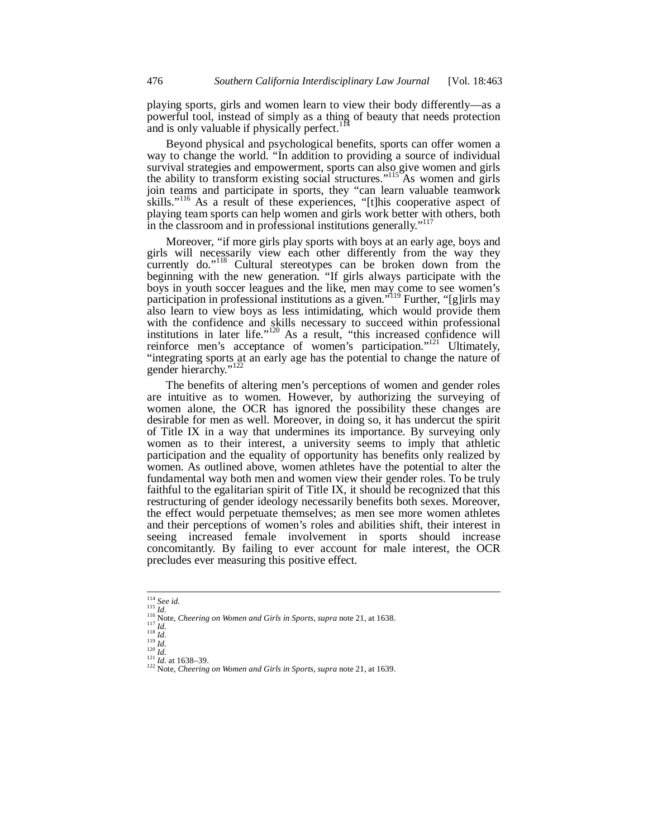playing sports, girls and women learn to view their body differently—as a powerful tool, instead of simply as a thing of beauty that needs protection and is only valuable if physically perfect.<sup>114</sup>

Beyond physical and psychological benefits, sports can offer women a way to change the world. "In addition to providing a source of individual survival strategies and empowerment, sports can also give women and girls the ability to transform existing social structures."<sup>115</sup>As women and girls join teams and participate in sports, they "can learn valuable teamwork skills."<sup>116</sup> As a result of these experiences, "[t]his cooperative aspect of playing team sports can help women and girls work better with others, both in the classroom and in professional institutions generally."<sup>117</sup>

Moreover, "if more girls play sports with boys at an early age, boys and girls will necessarily view each other differently from the way they currently do."<sup>118</sup> Cultural stereotypes can be broken down from the beginning with the new generation. "If girls always participate with the boys in youth soccer leagues and the like, men may come to see women's participation in professional institutions as a given."<sup>119</sup> Further, "[g]irls may also learn to view boys as less intimidating, which would provide them with the confidence and skills necessary to succeed within professional institutions in later life."<sup>120</sup> As a result, "this increased confidence will reinforce men's acceptance of women's participation."<sup>121</sup> Ultimately, "integrating sports at an early age has the potential to change the nature of gender hierarchy."

The benefits of altering men's perceptions of women and gender roles are intuitive as to women. However, by authorizing the surveying of women alone, the OCR has ignored the possibility these changes are desirable for men as well. Moreover, in doing so, it has undercut the spirit of Title IX in a way that undermines its importance. By surveying only women as to their interest, a university seems to imply that athletic participation and the equality of opportunity has benefits only realized by women. As outlined above, women athletes have the potential to alter the fundamental way both men and women view their gender roles. To be truly faithful to the egalitarian spirit of Title IX, it should be recognized that this restructuring of gender ideology necessarily benefits both sexes. Moreover, the effect would perpetuate themselves; as men see more women athletes and their perceptions of women's roles and abilities shift, their interest in seeing increased female involvement in sports should increase concomitantly. By failing to ever account for male interest, the OCR precludes ever measuring this positive effect.

 $114$  See id.

<sup>&</sup>lt;sup>115</sup> *Id.*<br>
<sup>116</sup> Mote, *Cheering on Women and Girls in Sports, supra* note 21, at 1638.<br>
<sup>117</sup> *Id.*<br>
<sup>117</sup> *Id.*<br>
<sup>119</sup> *Id.*<br>
<sup>121</sup> *Id.*<br>
<sup>121</sup> *Id.*<br>
<sup>121</sup> *Id.*<br>
<sup>121</sup> *Id.*<br>
<sup>121</sup> *Id.*<br>
<sup>121</sup> *Id.*<br>
<sup>121</sup> *Id.*<br>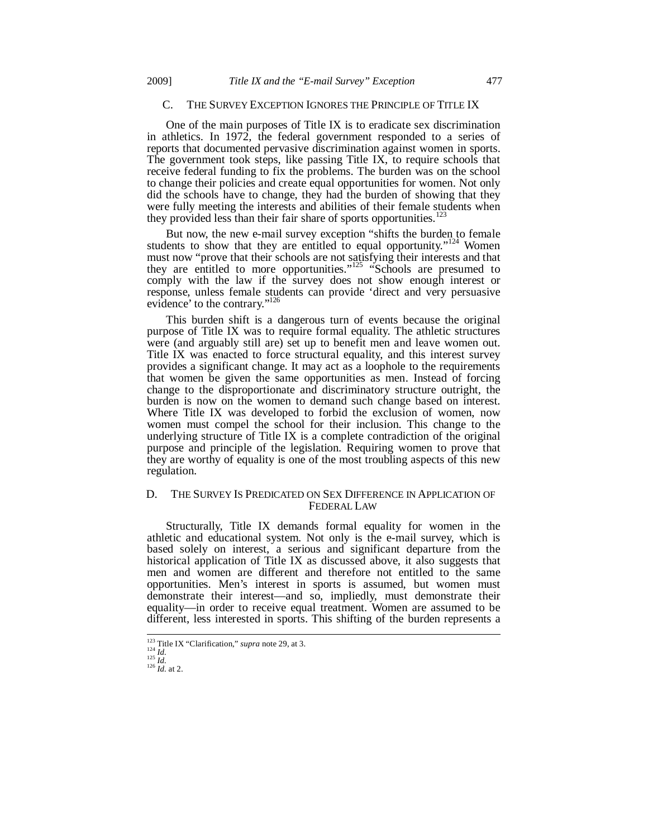## C. THE SURVEY EXCEPTION IGNORES THE PRINCIPLE OF TITLE IX

One of the main purposes of Title IX is to eradicate sex discrimination in athletics. In 1972, the federal government responded to a series of reports that documented pervasive discrimination against women in sports. The government took steps, like passing Title IX, to require schools that receive federal funding to fix the problems. The burden was on the school to change their policies and create equal opportunities for women. Not only did the schools have to change, they had the burden of showing that they were fully meeting the interests and abilities of their female students when they provided less than their fair share of sports opportunities.<sup>123</sup>

But now, the new e-mail survey exception "shifts the burden to female students to show that they are entitled to equal opportunity."<sup>124</sup> Women must now "prove that their schools are not satisfying their interests and that they are entitled to more opportunities."<sup>125</sup> "Schools are presumed to comply with the law if the survey does not show enough interest or response, unless female students can provide 'direct and very persuasive evidence' to the contrary."<sup>126</sup>

This burden shift is a dangerous turn of events because the original purpose of Title IX was to require formal equality. The athletic structures were (and arguably still are) set up to benefit men and leave women out. Title IX was enacted to force structural equality, and this interest survey provides a significant change. It may act as a loophole to the requirements that women be given the same opportunities as men. Instead of forcing change to the disproportionate and discriminatory structure outright, the burden is now on the women to demand such change based on interest. Where Title IX was developed to forbid the exclusion of women, now women must compel the school for their inclusion. This change to the underlying structure of Title IX is a complete contradiction of the original purpose and principle of the legislation. Requiring women to prove that they are worthy of equality is one of the most troubling aspects of this new regulation.

## D. THE SURVEY IS PREDICATED ON SEX DIFFERENCE IN APPLICATION OF FEDERAL LAW

Structurally, Title IX demands formal equality for women in the athletic and educational system. Not only is the e-mail survey, which is based solely on interest, a serious and significant departure from the historical application of Title IX as discussed above, it also suggests that men and women are different and therefore not entitled to the same opportunities. Men's interest in sports is assumed, but women must demonstrate their interest—and so, impliedly, must demonstrate their equality—in order to receive equal treatment. Women are assumed to be different, less interested in sports. This shifting of the burden represents a

<sup>&</sup>lt;sup>123</sup> Title IX "Clarification," *supra* note 29, at 3.<br><sup>124</sup> *Id. Id.* 125 *Id.* 126 *Id.* at 2.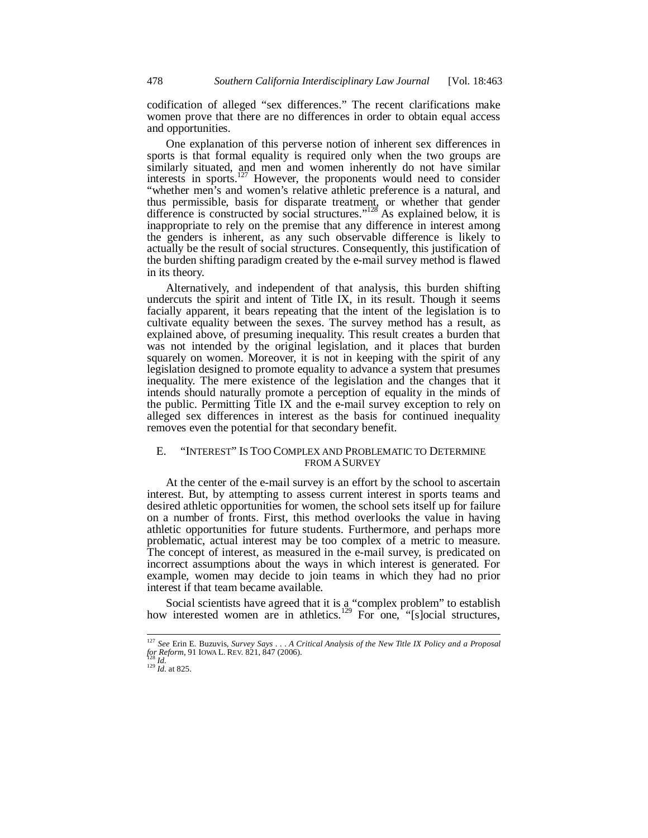codification of alleged "sex differences." The recent clarifications make women prove that there are no differences in order to obtain equal access and opportunities.

One explanation of this perverse notion of inherent sex differences in sports is that formal equality is required only when the two groups are similarly situated, and men and women inherently do not have similar interests in sports.<sup>127</sup> However, the proponents would need to consider "whether men's and women's relative athletic preference is a natural, and thus permissible, basis for disparate treatment, or whether that gender difference is constructed by social structures."<sup>128</sup> As explained below, it is inappropriate to rely on the premise that any difference in interest among the genders is inherent, as any such observable difference is likely to actually be the result of social structures. Consequently, this justification of the burden shifting paradigm created by the e-mail survey method is flawed in its theory.

Alternatively, and independent of that analysis, this burden shifting undercuts the spirit and intent of Title IX, in its result. Though it seems facially apparent, it bears repeating that the intent of the legislation is to cultivate equality between the sexes. The survey method has a result, as explained above, of presuming inequality. This result creates a burden that was not intended by the original legislation, and it places that burden squarely on women. Moreover, it is not in keeping with the spirit of any legislation designed to promote equality to advance a system that presumes inequality. The mere existence of the legislation and the changes that it intends should naturally promote a perception of equality in the minds of the public. Permitting Title IX and the e-mail survey exception to rely on alleged sex differences in interest as the basis for continued inequality removes even the potential for that secondary benefit.

## E. "INTEREST" IS TOO COMPLEX AND PROBLEMATIC TO DETERMINE FROM A SURVEY

At the center of the e-mail survey is an effort by the school to ascertain interest. But, by attempting to assess current interest in sports teams and desired athletic opportunities for women, the school sets itself up for failure on a number of fronts. First, this method overlooks the value in having athletic opportunities for future students. Furthermore, and perhaps more problematic, actual interest may be too complex of a metric to measure. The concept of interest, as measured in the e-mail survey, is predicated on incorrect assumptions about the ways in which interest is generated. For example, women may decide to join teams in which they had no prior interest if that team became available.

Social scientists have agreed that it is a "complex problem" to establish how interested women are in athletics.<sup>129</sup> For one, "[s]ocial structures,

<sup>127</sup> *See* Erin E. Buzuvis, *Survey Says . . . A Critical Analysis of the New Title IX Policy and a Proposal for Reform*, 91 IOWA L. REV. 821, 847 (2006). 128 *Id.* <sup>129</sup> *Id.* at 825.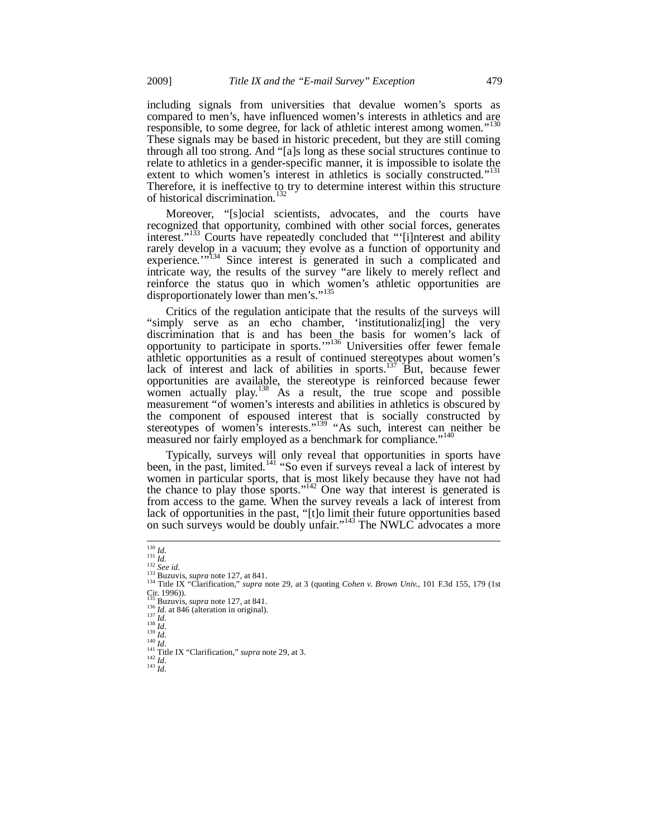including signals from universities that devalue women's sports as compared to men's, have influenced women's interests in athletics and are responsible, to some degree, for lack of athletic interest among women."<sup>130</sup> These signals may be based in historic precedent, but they are still coming through all too strong. And "[a]s long as these social structures continue to relate to athletics in a gender-specific manner, it is impossible to isolate the extent to which women's interest in athletics is socially constructed."<sup>131</sup> Therefore, it is ineffective to try to determine interest within this structure of historical discrimination.<sup>132</sup>

Moreover, "[s]ocial scientists, advocates, and the courts have recognized that opportunity, combined with other social forces, generates interest."<sup>133</sup> Courts have repeatedly concluded that "'[i]nterest and ability rarely develop in a vacuum; they evolve as a function of opportunity and experience.'"<sup>134</sup> Since interest is generated in such a complicated and intricate way, the results of the survey "are likely to merely reflect and reinforce the status quo in which women's athletic opportunities are disproportionately lower than men's."<sup>135</sup>

Critics of the regulation anticipate that the results of the surveys will "simply serve as an echo chamber, 'institutionaliz[ing] the very discrimination that is and has been the basis for women's lack of opportunity to participate in sports."<sup>136</sup> Universities offer fewer female athletic opportunities as a result of continued stereotypes about women's lack of interest and lack of abilities in sports.<sup>137</sup> But, because fewer opportunities are available, the stereotype is reinforced because fewer women actually play.<sup>138</sup> As a result, the true scope and possible measurement "of women's interests and abilities in athletics is obscured by the component of espoused interest that is socially constructed by stereotypes of women's interests."<sup>139</sup> "As such, interest can neither be measured nor fairly employed as a benchmark for compliance."<sup>140</sup>

Typically, surveys will only reveal that opportunities in sports have been, in the past, limited.<sup>141</sup> "So even if surveys reveal a lack of interest by women in particular sports, that is most likely because they have not had the chance to play those sports."<sup>142</sup> One way that interest is generated is from access to the game. When the survey reveals a lack of interest from lack of opportunities in the past, "[t]o limit their future opportunities based on such surveys would be doubly unfair."<sup>143</sup> The NWLC advocates a more

<sup>&</sup>lt;sup>130</sup> *Id.*<br><sup>131</sup> *Id.*<br><sup>132</sup> *See id.*<br><sup>134</sup> Buzuvis, *supra* note 127, at 841.<br><sup>134</sup> Title IX "Clarification," *supra* note 29, at 3 (quoting *Cohen v. Brown Univ.*, 101 F.3d 155, 179 (1st 134 Title IX "Clarification," *supra* note 29, at 3 (quoting *Cohen v. Brown Univ.*, 101 F.3d 155, 179 (1st Cir. 1996)).<br>
<sup>135</sup> Buzuvis, *supra* note 127, at 841.

<sup>&</sup>lt;sup>136</sup> *Id.* at 846 (alteration in original).<br>
<sup>137</sup> *Id.*<br>
<sup>138</sup> *Id.*<br>
<sup>138</sup> *Id.*<br>
<sup>140</sup> *Id.*<br>
<sup>141</sup> Title IX "Clarification," supra note 29, at 3.<br>
<sup>142</sup> Title IX "Clarification," *supra* note 29, at 3.<br>
<sup>142</sup> *Id.*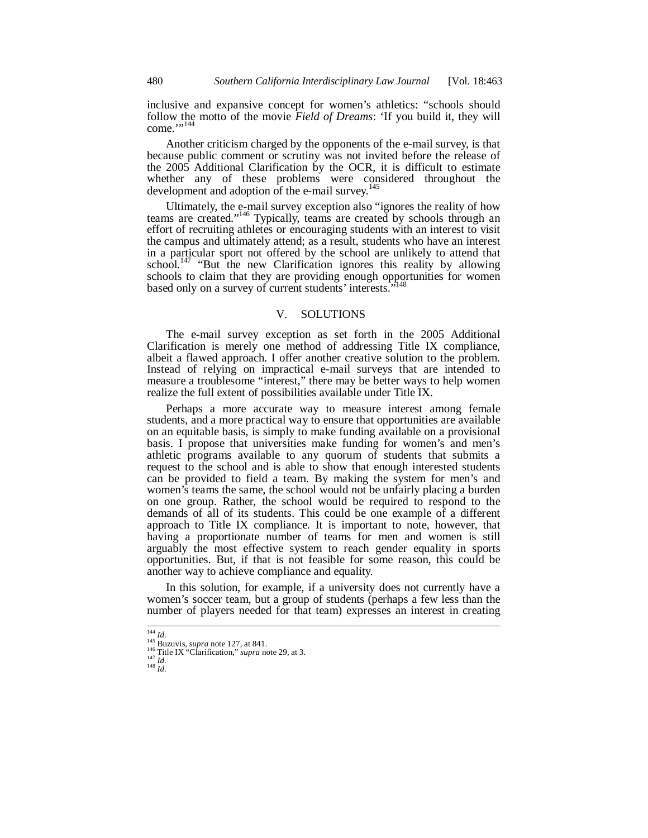inclusive and expansive concept for women's athletics: "schools should follow the motto of the movie *Field of Dreams*: 'If you build it, they will come."<sup>144</sup>

Another criticism charged by the opponents of the e-mail survey, is that because public comment or scrutiny was not invited before the release of the 2005 Additional Clarification by the OCR, it is difficult to estimate whether any of these problems were considered throughout the development and adoption of the e-mail survey.<sup>145</sup>

Ultimately, the e-mail survey exception also "ignores the reality of how teams are created."146 Typically, teams are created by schools through an effort of recruiting athletes or encouraging students with an interest to visit the campus and ultimately attend; as a result, students who have an interest in a particular sport not offered by the school are unlikely to attend that school.<sup>147</sup> "But the new Clarification ignores this reality by allowing schools to claim that they are providing enough opportunities for women based only on a survey of current students' interests.'

### V. SOLUTIONS

The e-mail survey exception as set forth in the 2005 Additional Clarification is merely one method of addressing Title IX compliance, albeit a flawed approach. I offer another creative solution to the problem. Instead of relying on impractical e-mail surveys that are intended to measure a troublesome "interest," there may be better ways to help women realize the full extent of possibilities available under Title IX.

Perhaps a more accurate way to measure interest among female students, and a more practical way to ensure that opportunities are available on an equitable basis, is simply to make funding available on a provisional basis. I propose that universities make funding for women's and men's athletic programs available to any quorum of students that submits a request to the school and is able to show that enough interested students can be provided to field a team. By making the system for men's and women's teams the same, the school would not be unfairly placing a burden on one group. Rather, the school would be required to respond to the demands of all of its students. This could be one example of a different approach to Title IX compliance. It is important to note, however, that having a proportionate number of teams for men and women is still arguably the most effective system to reach gender equality in sports opportunities. But, if that is not feasible for some reason, this could be another way to achieve compliance and equality.

In this solution, for example, if a university does not currently have a women's soccer team, but a group of students (perhaps a few less than the number of players needed for that team) expresses an interest in creating

 $^{144}$   $\mathit{Id.}$ 

<sup>&</sup>lt;sup>145</sup> Buzuvis, *supra* note 127, at 841.<br><sup>146</sup> Title IX "Clarification," *supra* note 29, at 3.<br><sup>147</sup> *Id.* <sup>148</sup> *Id.*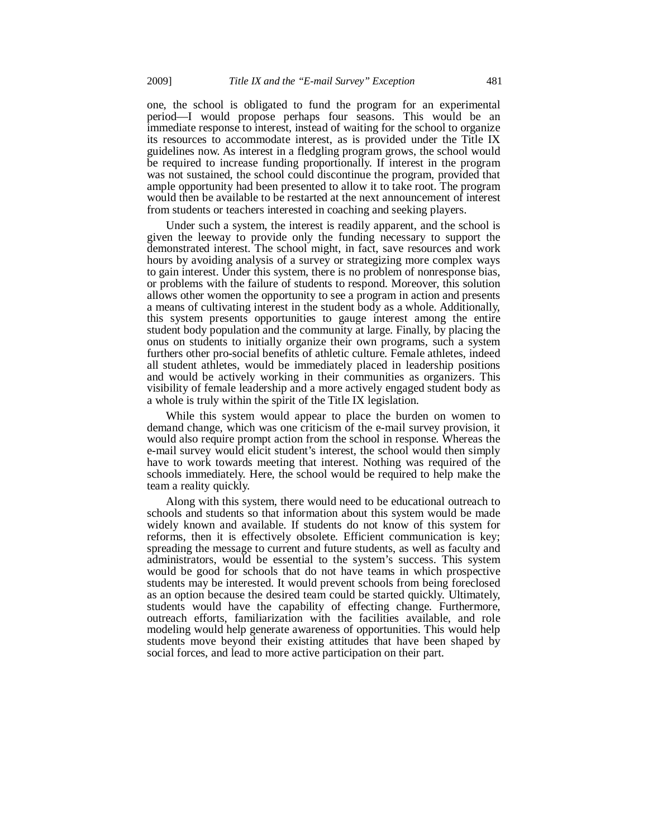one, the school is obligated to fund the program for an experimental period—I would propose perhaps four seasons. This would be an immediate response to interest, instead of waiting for the school to organize its resources to accommodate interest, as is provided under the Title IX guidelines now. As interest in a fledgling program grows, the school would be required to increase funding proportionally. If interest in the program was not sustained, the school could discontinue the program, provided that ample opportunity had been presented to allow it to take root. The program would then be available to be restarted at the next announcement of interest from students or teachers interested in coaching and seeking players.

Under such a system, the interest is readily apparent, and the school is given the leeway to provide only the funding necessary to support the demonstrated interest. The school might, in fact, save resources and work hours by avoiding analysis of a survey or strategizing more complex ways to gain interest. Under this system, there is no problem of nonresponse bias, or problems with the failure of students to respond. Moreover, this solution allows other women the opportunity to see a program in action and presents a means of cultivating interest in the student body as a whole. Additionally, this system presents opportunities to gauge interest among the entire student body population and the community at large. Finally, by placing the onus on students to initially organize their own programs, such a system furthers other pro-social benefits of athletic culture. Female athletes, indeed all student athletes, would be immediately placed in leadership positions and would be actively working in their communities as organizers. This visibility of female leadership and a more actively engaged student body as a whole is truly within the spirit of the Title IX legislation.

While this system would appear to place the burden on women to demand change, which was one criticism of the e-mail survey provision, it would also require prompt action from the school in response. Whereas the e-mail survey would elicit student's interest, the school would then simply have to work towards meeting that interest. Nothing was required of the schools immediately. Here, the school would be required to help make the team a reality quickly.

Along with this system, there would need to be educational outreach to schools and students so that information about this system would be made widely known and available. If students do not know of this system for reforms, then it is effectively obsolete. Efficient communication is key; spreading the message to current and future students, as well as faculty and administrators, would be essential to the system's success. This system would be good for schools that do not have teams in which prospective students may be interested. It would prevent schools from being foreclosed as an option because the desired team could be started quickly. Ultimately, students would have the capability of effecting change. Furthermore, outreach efforts, familiarization with the facilities available, and role modeling would help generate awareness of opportunities. This would help students move beyond their existing attitudes that have been shaped by social forces, and lead to more active participation on their part.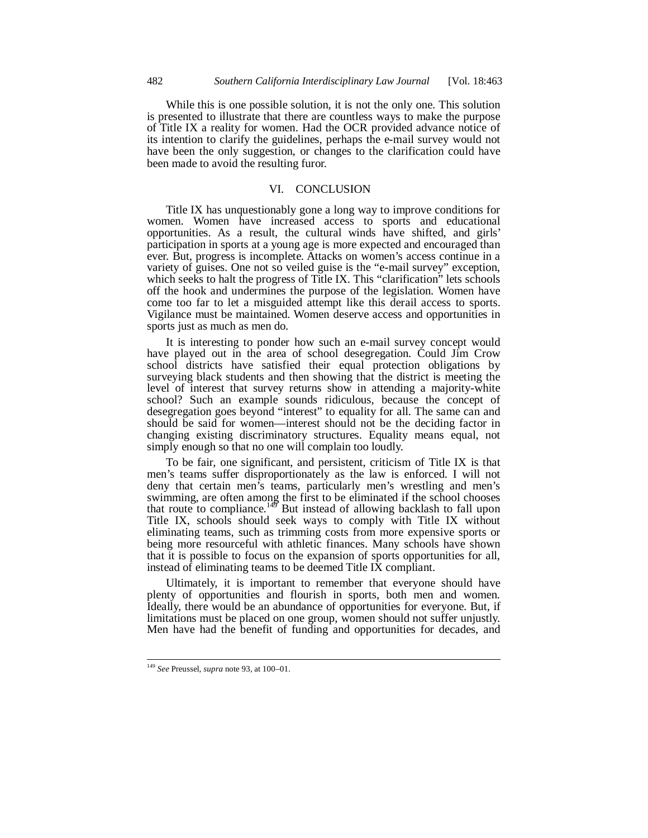While this is one possible solution, it is not the only one. This solution is presented to illustrate that there are countless ways to make the purpose of Title IX a reality for women. Had the OCR provided advance notice of its intention to clarify the guidelines, perhaps the e-mail survey would not have been the only suggestion, or changes to the clarification could have been made to avoid the resulting furor.

### VI. CONCLUSION

Title IX has unquestionably gone a long way to improve conditions for women. Women have increased access to sports and educational opportunities. As a result, the cultural winds have shifted, and girls' participation in sports at a young age is more expected and encouraged than ever. But, progress is incomplete. Attacks on women's access continue in a variety of guises. One not so veiled guise is the "e-mail survey" exception, which seeks to halt the progress of Title IX. This "clarification" lets schools off the hook and undermines the purpose of the legislation. Women have come too far to let a misguided attempt like this derail access to sports. Vigilance must be maintained. Women deserve access and opportunities in sports just as much as men do.

It is interesting to ponder how such an e-mail survey concept would have played out in the area of school desegregation. Could Jim Crow school districts have satisfied their equal protection obligations by surveying black students and then showing that the district is meeting the level of interest that survey returns show in attending a majority-white school? Such an example sounds ridiculous, because the concept of desegregation goes beyond "interest" to equality for all. The same can and should be said for women—interest should not be the deciding factor in changing existing discriminatory structures. Equality means equal, not simply enough so that no one will complain too loudly.

To be fair, one significant, and persistent, criticism of Title IX is that men's teams suffer disproportionately as the law is enforced. I will not deny that certain men's teams, particularly men's wrestling and men's swimming, are often among the first to be eliminated if the school chooses that route to compliance.<sup>149</sup> But instead of allowing backlash to fall upon Title IX, schools should seek ways to comply with Title IX without eliminating teams, such as trimming costs from more expensive sports or being more resourceful with athletic finances. Many schools have shown that it is possible to focus on the expansion of sports opportunities for all, instead of eliminating teams to be deemed Title IX compliant.

Ultimately, it is important to remember that everyone should have plenty of opportunities and flourish in sports, both men and women. Ideally, there would be an abundance of opportunities for everyone. But, if limitations must be placed on one group, women should not suffer unjustly. Men have had the benefit of funding and opportunities for decades, and

<sup>149</sup> *See* Preussel, *supra* note 93, at 100–01.